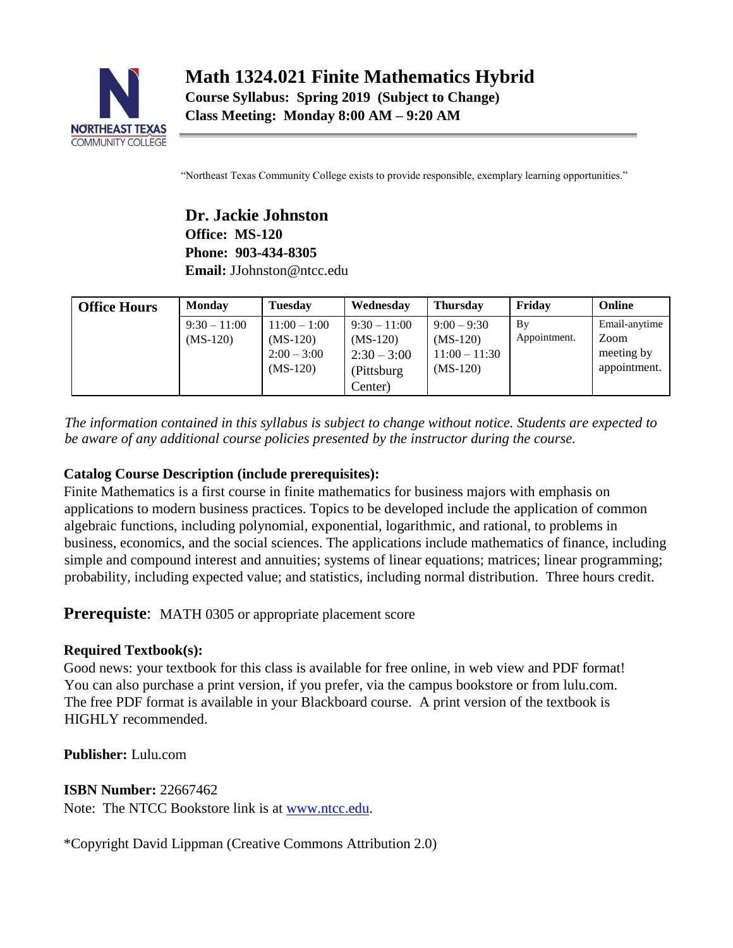

"Northeast Texas Community College exists to provide responsible, exemplary learning opportunities."

**Dr. Jackie Johnston Office: MS-120 Phone: 903-434-8305 Email:** JJohnston@ntcc.edu

| <b>Office Hours</b> | <b>Monday</b>                | <b>Tuesday</b>                                              | Wednesday                                                              | <b>Thursday</b>                                              | Fridav             | Online                                              |
|---------------------|------------------------------|-------------------------------------------------------------|------------------------------------------------------------------------|--------------------------------------------------------------|--------------------|-----------------------------------------------------|
|                     | $9:30 - 11:00$<br>$(MS-120)$ | $11:00 - 1:00$<br>$(MS-120)$<br>$2:00 - 3:00$<br>$(MS-120)$ | $9:30 - 11:00$<br>$(MS-120)$<br>$2:30 - 3:00$<br>(Pittsburg<br>Center) | $9:00 - 9:30$<br>$(MS-120)$<br>$11:00 - 11:30$<br>$(MS-120)$ | By<br>Appointment. | Email-anytime<br>Zoom<br>meeting by<br>appointment. |

*The information contained in this syllabus is subject to change without notice. Students are expected to be aware of any additional course policies presented by the instructor during the course.* 

### **Catalog Course Description (include prerequisites):**

Finite Mathematics is a first course in finite mathematics for business majors with emphasis on applications to modern business practices. Topics to be developed include the application of common algebraic functions, including polynomial, exponential, logarithmic, and rational, to problems in business, economics, and the social sciences. The applications include mathematics of finance, including simple and compound interest and annuities; systems of linear equations; matrices; linear programming; probability, including expected value; and statistics, including normal distribution. Three hours credit.

**Prerequiste:** MATH 0305 or appropriate placement score

## **Required Textbook(s):**

Good news: your textbook for this class is available for free online, in web view and PDF format! You can also purchase a print version, if you prefer, via the campus bookstore or from lulu.com. The free PDF format is available in your Blackboard course. A print version of the textbook is HIGHLY recommended.

**Publisher:** Lulu.com

**ISBN Number:** 22667462 Note: The NTCC Bookstore link is at [www.ntcc.edu.](http://www.ntcc.edu/)

\*Copyright David Lippman (Creative Commons Attribution 2.0)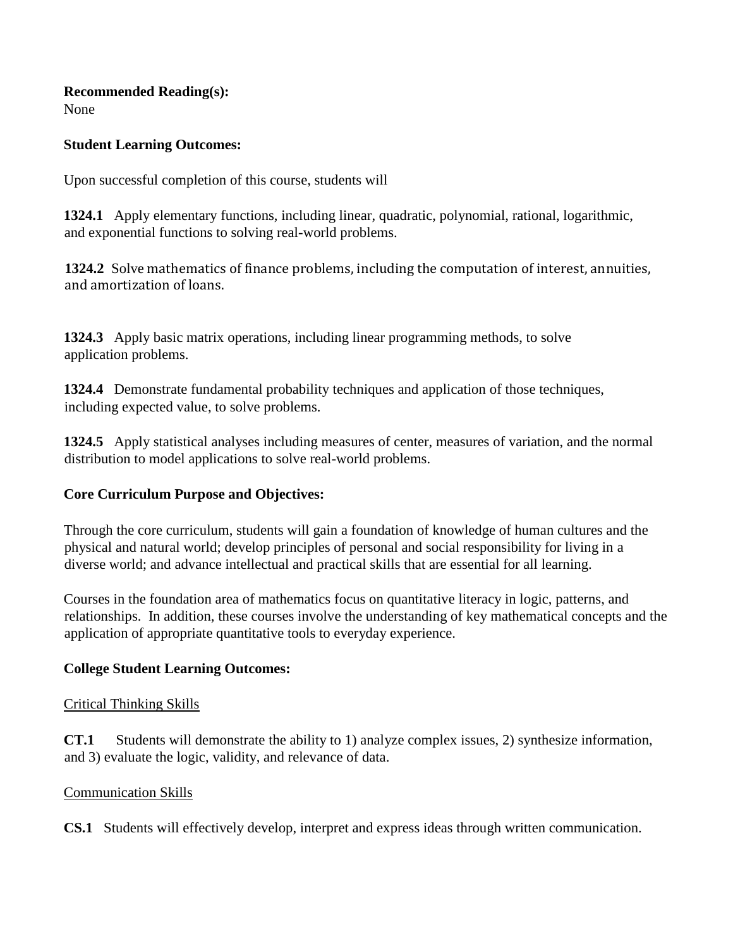#### **Recommended Reading(s):**

None

#### **Student Learning Outcomes:**

Upon successful completion of this course, students will

**1324.1** Apply elementary functions, including linear, quadratic, polynomial, rational, logarithmic, and exponential functions to solving real-world problems.

**1324.2** Solve mathematics of finance problems, including the computation of interest, annuities, and amortization of loans.

**1324.3** Apply basic matrix operations, including linear programming methods, to solve application problems.

**1324.4** Demonstrate fundamental probability techniques and application of those techniques, including expected value, to solve problems.

**1324.5** Apply statistical analyses including measures of center, measures of variation, and the normal distribution to model applications to solve real-world problems.

### **Core Curriculum Purpose and Objectives:**

Through the core curriculum, students will gain a foundation of knowledge of human cultures and the physical and natural world; develop principles of personal and social responsibility for living in a diverse world; and advance intellectual and practical skills that are essential for all learning.

Courses in the foundation area of mathematics focus on quantitative literacy in logic, patterns, and relationships. In addition, these courses involve the understanding of key mathematical concepts and the application of appropriate quantitative tools to everyday experience.

### **College Student Learning Outcomes:**

#### Critical Thinking Skills

**CT.1** Students will demonstrate the ability to 1) analyze complex issues, 2) synthesize information, and 3) evaluate the logic, validity, and relevance of data.

#### Communication Skills

**CS.1** Students will effectively develop, interpret and express ideas through written communication.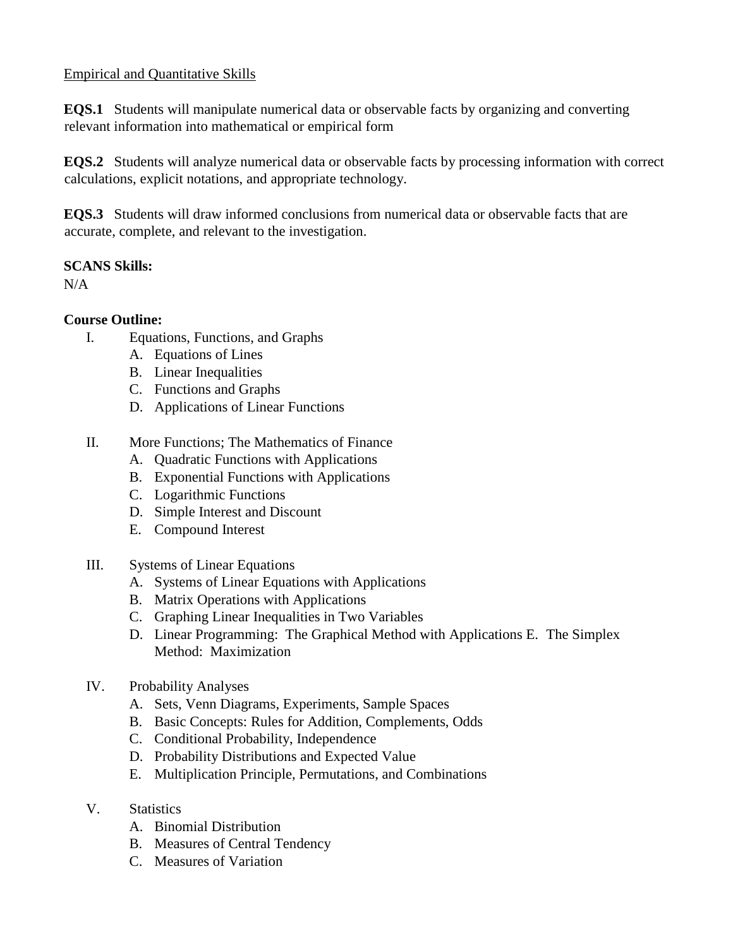### Empirical and Quantitative Skills

**EQS.1** Students will manipulate numerical data or observable facts by organizing and converting relevant information into mathematical or empirical form

**EQS.2** Students will analyze numerical data or observable facts by processing information with correct calculations, explicit notations, and appropriate technology.

**EQS.3** Students will draw informed conclusions from numerical data or observable facts that are accurate, complete, and relevant to the investigation.

### **SCANS Skills:**

N/A

### **Course Outline:**

- I. Equations, Functions, and Graphs
	- A. Equations of Lines
	- B. Linear Inequalities
	- C. Functions and Graphs
	- D. Applications of Linear Functions
- II. More Functions; The Mathematics of Finance
	- A. Quadratic Functions with Applications
	- B. Exponential Functions with Applications
	- C. Logarithmic Functions
	- D. Simple Interest and Discount
	- E. Compound Interest
- III. Systems of Linear Equations
	- A. Systems of Linear Equations with Applications
	- B. Matrix Operations with Applications
	- C. Graphing Linear Inequalities in Two Variables
	- D. Linear Programming: The Graphical Method with Applications E. The Simplex Method: Maximization
- IV. Probability Analyses
	- A. Sets, Venn Diagrams, Experiments, Sample Spaces
	- B. Basic Concepts: Rules for Addition, Complements, Odds
	- C. Conditional Probability, Independence
	- D. Probability Distributions and Expected Value
	- E. Multiplication Principle, Permutations, and Combinations
- V. Statistics
	- A. Binomial Distribution
	- B. Measures of Central Tendency
	- C. Measures of Variation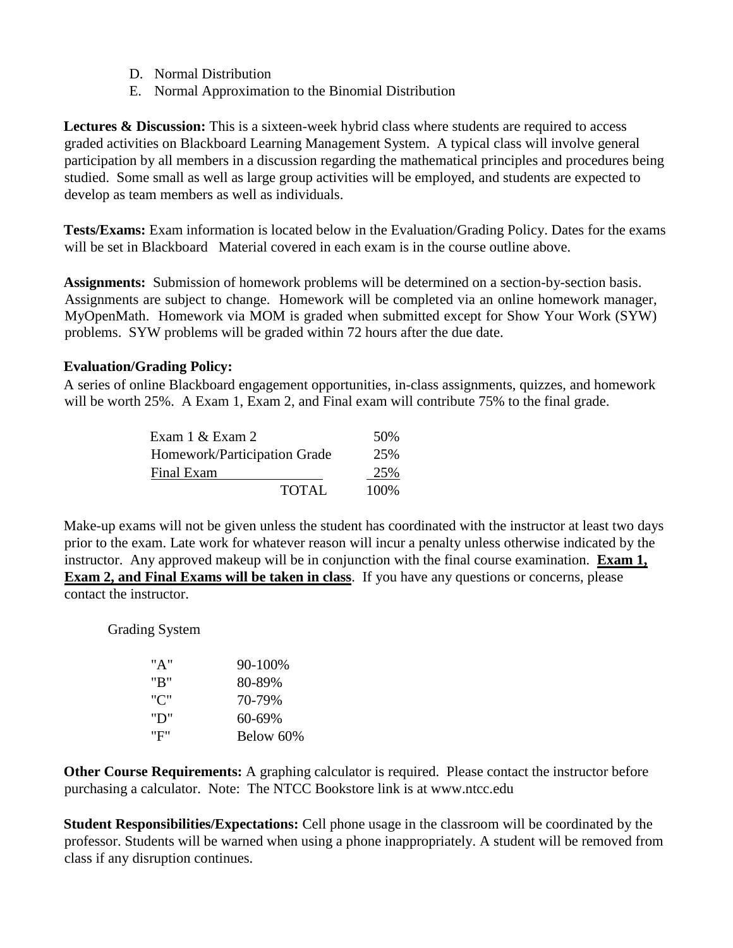- D. Normal Distribution
- E. Normal Approximation to the Binomial Distribution

**Lectures & Discussion:** This is a sixteen-week hybrid class where students are required to access graded activities on Blackboard Learning Management System. A typical class will involve general participation by all members in a discussion regarding the mathematical principles and procedures being studied. Some small as well as large group activities will be employed, and students are expected to develop as team members as well as individuals.

**Tests/Exams:** Exam information is located below in the Evaluation/Grading Policy. Dates for the exams will be set in Blackboard Material covered in each exam is in the course outline above.

**Assignments:** Submission of homework problems will be determined on a section-by-section basis. Assignments are subject to change. Homework will be completed via an online homework manager, MyOpenMath. Homework via MOM is graded when submitted except for Show Your Work (SYW) problems. SYW problems will be graded within 72 hours after the due date.

#### **Evaluation/Grading Policy:**

A series of online Blackboard engagement opportunities, in-class assignments, quizzes, and homework will be worth 25%. A Exam 1, Exam 2, and Final exam will contribute 75% to the final grade.

| Exam $1 \&$ Exam $2$         | 50%   |
|------------------------------|-------|
| Homework/Participation Grade | 25%   |
| Final Exam                   | 25%   |
| TOTAL                        | 100\% |

Make-up exams will not be given unless the student has coordinated with the instructor at least two days prior to the exam. Late work for whatever reason will incur a penalty unless otherwise indicated by the instructor. Any approved makeup will be in conjunction with the final course examination. **Exam 1, Exam 2, and Final Exams will be taken in class**. If you have any questions or concerns, please contact the instructor.

Grading System

| "A" | 90-100%   |
|-----|-----------|
| "R" | 80-89%    |
| "C" | 70-79%    |
| "ט" | 60-69%    |
| "F" | Below 60% |

**Other Course Requirements:** A graphing calculator is required. Please contact the instructor before purchasing a calculator. Note: The NTCC Bookstore link is [at www.ntcc.edu](http://www.ntcc.edu/)

**Student Responsibilities/Expectations:** Cell phone usage in the classroom will be coordinated by the professor. Students will be warned when using a phone inappropriately. A student will be removed from class if any disruption continues.